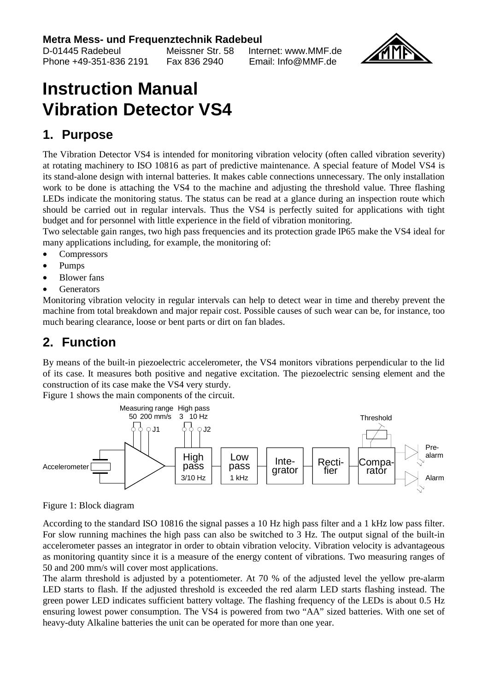# **Metra Mess- und Frequenztechnik Radebeul**

 $Phone +49-351-836.2191$ 

Meissner Str. 58 Internet: www.MMF.de<br>Eax 836 2940 Email: Info@MME.de



# **Instruction Manual Vibration Detector VS4**

## **1. Purpose**

The Vibration Detector VS4 is intended for monitoring vibration velocity (often called vibration severity) at rotating machinery to ISO 10816 as part of predictive maintenance. A special feature of Model VS4 is its stand-alone design with internal batteries. It makes cable connections unnecessary. The only installation work to be done is attaching the VS4 to the machine and adjusting the threshold value. Three flashing LEDs indicate the monitoring status. The status can be read at a glance during an inspection route which should be carried out in regular intervals. Thus the VS4 is perfectly suited for applications with tight budget and for personnel with little experience in the field of vibration monitoring.

Two selectable gain ranges, two high pass frequencies and its protection grade IP65 make the VS4 ideal for many applications including, for example, the monitoring of:

- Compressors
- Pumps
- **Blower** fans
- **Generators**

Monitoring vibration velocity in regular intervals can help to detect wear in time and thereby prevent the machine from total breakdown and major repair cost. Possible causes of such wear can be, for instance, too much bearing clearance, loose or bent parts or dirt on fan blades.

# **2. Function**

By means of the built-in piezoelectric accelerometer, the VS4 monitors vibrations perpendicular to the lid of its case. It measures both positive and negative excitation. The piezoelectric sensing element and the construction of its case make the VS4 very sturdy.

Figure 1 shows the main components of the circuit.



Figure 1: Block diagram

According to the standard ISO 10816 the signal passes a 10 Hz high pass filter and a 1 kHz low pass filter. For slow running machines the high pass can also be switched to 3 Hz. The output signal of the built-in accelerometer passes an integrator in order to obtain vibration velocity. Vibration velocity is advantageous as monitoring quantity since it is a measure of the energy content of vibrations. Two measuring ranges of 50 and 200 mm/s will cover most applications.

The alarm threshold is adjusted by a potentiometer. At 70 % of the adjusted level the yellow pre-alarm LED starts to flash. If the adjusted threshold is exceeded the red alarm LED starts flashing instead. The green power LED indicates sufficient battery voltage. The flashing frequency of the LEDs is about 0.5 Hz ensuring lowest power consumption. The VS4 is powered from two "AA" sized batteries. With one set of heavy-duty Alkaline batteries the unit can be operated for more than one year.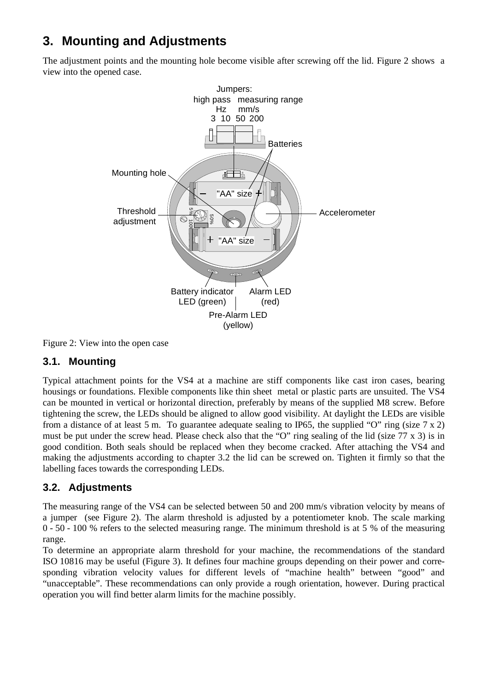# **3. Mounting and Adjustments**

The adjustment points and the mounting hole become visible after screwing off the lid. Figure 2 shows a view into the opened case.



Figure 2: View into the open case

#### **3.1. Mounting**

Typical attachment points for the VS4 at a machine are stiff components like cast iron cases, bearing housings or foundations. Flexible components like thin sheet metal or plastic parts are unsuited. The VS4 can be mounted in vertical or horizontal direction, preferably by means of the supplied M8 screw. Before tightening the screw, the LEDs should be aligned to allow good visibility. At daylight the LEDs are visible from a distance of at least 5 m. To guarantee adequate sealing to IP65, the supplied "O" ring (size  $7 \times 2$ ) must be put under the screw head. Please check also that the "O" ring sealing of the lid (size 77 x 3) is in good condition. Both seals should be replaced when they become cracked. After attaching the VS4 and making the adjustments according to chapter 3.2 the lid can be screwed on. Tighten it firmly so that the labelling faces towards the corresponding LEDs.

#### **3.2. Adjustments**

The measuring range of the VS4 can be selected between 50 and 200 mm/s vibration velocity by means of a jumper (see Figure 2). The alarm threshold is adjusted by a potentiometer knob. The scale marking  $0 - 50 - 100$  % refers to the selected measuring range. The minimum threshold is at 5 % of the measuring range.

To determine an appropriate alarm threshold for your machine, the recommendations of the standard ISO 10816 may be useful (Figure 3). It defines four machine groups depending on their power and corresponding vibration velocity values for different levels of "machine health" between "good" and "unacceptable". These recommendations can only provide a rough orientation, however. During practical operation you will find better alarm limits for the machine possibly.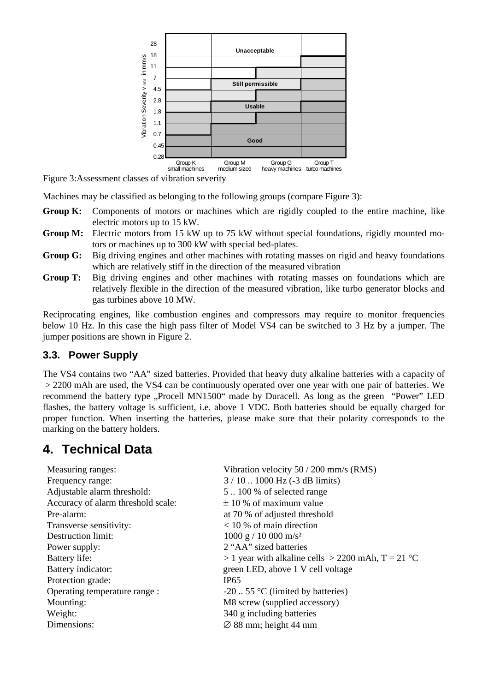

Figure 3:Assessment classes of vibration severity

Machines may be classified as belonging to the following groups (compare Figure 3):

- **Group K:** Components of motors or machines which are rigidly coupled to the entire machine, like electric motors up to 15 kW.
- Group M: Electric motors from 15 kW up to 75 kW without special foundations, rigidly mounted motors or machines up to 300 kW with special bed-plates.
- **Group G:** Big driving engines and other machines with rotating masses on rigid and heavy foundations which are relatively stiff in the direction of the measured vibration
- **Group T:** Big driving engines and other machines with rotating masses on foundations which are relatively flexible in the direction of the measured vibration, like turbo generator blocks and gas turbines above 10 MW.

Reciprocating engines, like combustion engines and compressors may require to monitor frequencies below 10 Hz. In this case the high pass filter of Model VS4 can be switched to 3 Hz by a jumper. The jumper positions are shown in Figure 2.

#### **3.3. Power Supply**

The VS4 contains two "AA" sized batteries. Provided that heavy duty alkaline batteries with a capacity of > 2200 mAh are used, the VS4 can be continuously operated over one year with one pair of batteries. We recommend the battery type "Procell MN1500" made by Duracell. As long as the green "Power" LED flashes, the battery voltage is sufficient, i.e. above 1 VDC. Both batteries should be equally charged for proper function. When inserting the batteries, please make sure that their polarity corresponds to the marking on the battery holders.

### **4. Technical Data**

| Measuring ranges:                  | Vibration velocity 50 / 200 mm/s (RMS)                 |
|------------------------------------|--------------------------------------------------------|
| Frequency range:                   | $3 / 10$ 1000 Hz (-3 dB limits)                        |
| Adjustable alarm threshold:        | 5100 % of selected range                               |
| Accuracy of alarm threshold scale: | $\pm$ 10 % of maximum value                            |
| Pre-alarm:                         | at 70 % of adjusted threshold                          |
| Transverse sensitivity:            | $<$ 10 % of main direction                             |
| Destruction limit:                 | $1000 \text{ g} / 10000 \text{ m/s}^2$                 |
| Power supply:                      | 2 "AA" sized batteries                                 |
| Battery life:                      | $>$ 1 year with alkaline cells $>$ 2200 mAh, T = 21 °C |
| Battery indicator:                 | green LED, above 1 V cell voltage                      |
| Protection grade:                  | <b>IP65</b>                                            |
| Operating temperature range:       | $-20$ 55 °C (limited by batteries)                     |
| Mounting:                          | M8 screw (supplied accessory)                          |
| Weight:                            | 340 g including batteries                              |
| Dimensions:                        | $\varnothing$ 88 mm; height 44 mm                      |
|                                    |                                                        |